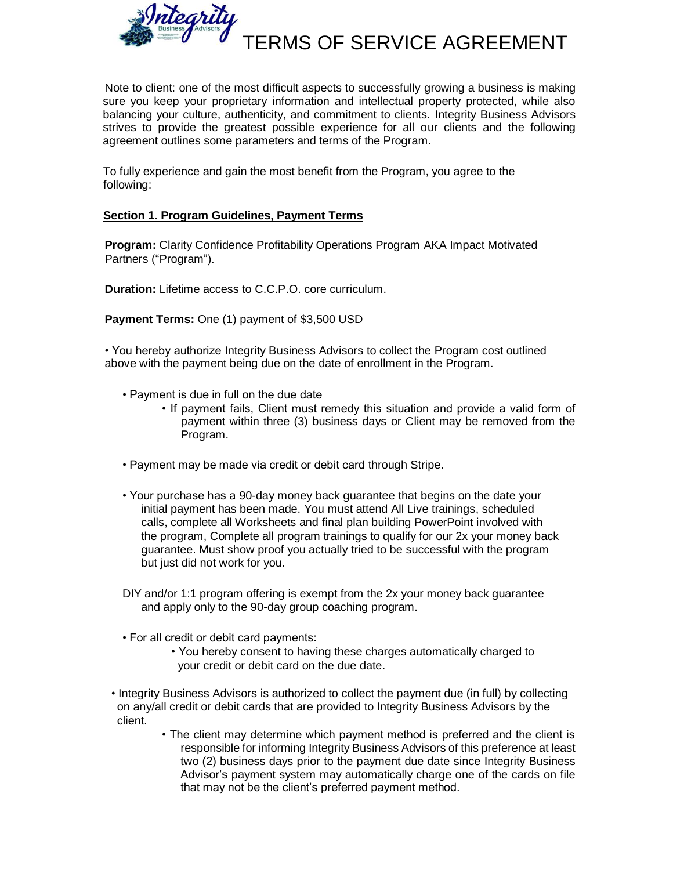

Note to client: one of the most difficult aspects to successfully growing a business is making sure you keep your proprietary information and intellectual property protected, while also balancing your culture, authenticity, and commitment to clients. Integrity Business Advisors strives to provide the greatest possible experience for all our clients and the following agreement outlines some parameters and terms of the Program.

To fully experience and gain the most benefit from the Program, you agree to the following:

### **Section 1. Program Guidelines, Payment Terms**

**Program:** Clarity Confidence Profitability Operations Program AKA Impact Motivated Partners ("Program").

**Duration:** Lifetime access to C.C.P.O. core curriculum.

**Payment Terms:** One (1) payment of \$3,500 USD

• You hereby authorize Integrity Business Advisors to collect the Program cost outlined above with the payment being due on the date of enrollment in the Program.

- Payment is due in full on the due date
	- If payment fails, Client must remedy this situation and provide a valid form of payment within three (3) business days or Client may be removed from the Program.
- Payment may be made via credit or debit card through Stripe.
- Your purchase has a 90-day money back guarantee that begins on the date your initial payment has been made. You must attend All Live trainings, scheduled calls, complete all Worksheets and final plan building PowerPoint involved with the program, Complete all program trainings to qualify for our 2x your money back guarantee. Must show proof you actually tried to be successful with the program but just did not work for you.
- DIY and/or 1:1 program offering is exempt from the 2x your money back guarantee and apply only to the 90-day group coaching program.
- For all credit or debit card payments:
	- You hereby consent to having these charges automatically charged to your credit or debit card on the due date.
- Integrity Business Advisors is authorized to collect the payment due (in full) by collecting on any/all credit or debit cards that are provided to Integrity Business Advisors by the client.
	- The client may determine which payment method is preferred and the client is responsible for informing Integrity Business Advisors of this preference at least two (2) business days prior to the payment due date since Integrity Business Advisor's payment system may automatically charge one of the cards on file that may not be the client's preferred payment method.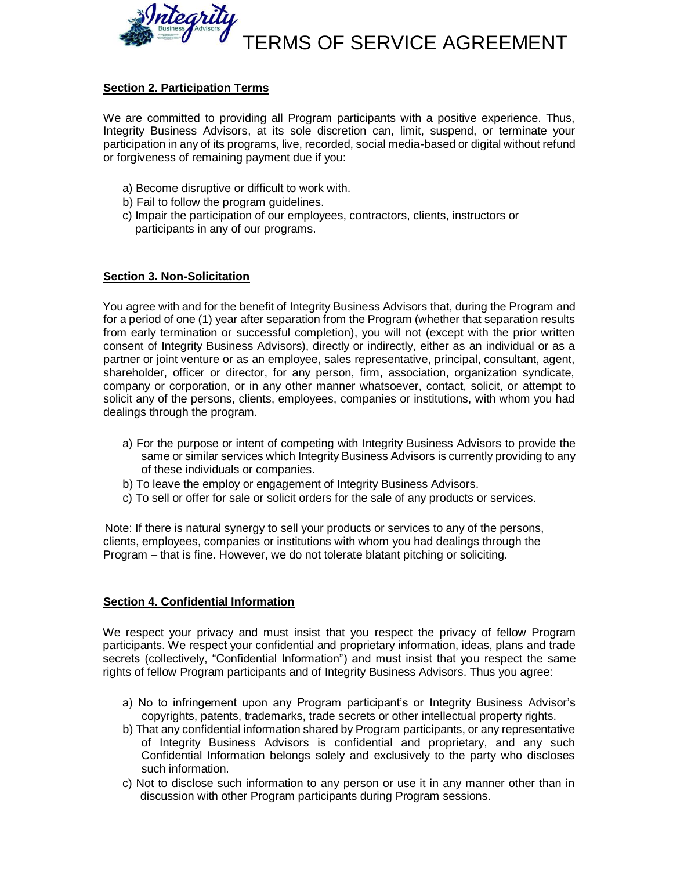

## **Section 2. Participation Terms**

We are committed to providing all Program participants with a positive experience. Thus, Integrity Business Advisors, at its sole discretion can, limit, suspend, or terminate your participation in any of its programs, live, recorded, social media-based or digital without refund or forgiveness of remaining payment due if you:

- a) Become disruptive or difficult to work with.
- b) Fail to follow the program guidelines.
- c) Impair the participation of our employees, contractors, clients, instructors or participants in any of our programs.

## **Section 3. Non-Solicitation**

You agree with and for the benefit of Integrity Business Advisors that, during the Program and for a period of one (1) year after separation from the Program (whether that separation results from early termination or successful completion), you will not (except with the prior written consent of Integrity Business Advisors), directly or indirectly, either as an individual or as a partner or joint venture or as an employee, sales representative, principal, consultant, agent, shareholder, officer or director, for any person, firm, association, organization syndicate, company or corporation, or in any other manner whatsoever, contact, solicit, or attempt to solicit any of the persons, clients, employees, companies or institutions, with whom you had dealings through the program.

- a) For the purpose or intent of competing with Integrity Business Advisors to provide the same or similar services which Integrity Business Advisors is currently providing to any of these individuals or companies.
- b) To leave the employ or engagement of Integrity Business Advisors.
- c) To sell or offer for sale or solicit orders for the sale of any products or services.

Note: If there is natural synergy to sell your products or services to any of the persons, clients, employees, companies or institutions with whom you had dealings through the Program – that is fine. However, we do not tolerate blatant pitching or soliciting.

### **Section 4. Confidential Information**

We respect your privacy and must insist that you respect the privacy of fellow Program participants. We respect your confidential and proprietary information, ideas, plans and trade secrets (collectively, "Confidential Information") and must insist that you respect the same rights of fellow Program participants and of Integrity Business Advisors. Thus you agree:

- a) No to infringement upon any Program participant's or Integrity Business Advisor's copyrights, patents, trademarks, trade secrets or other intellectual property rights.
- b) That any confidential information shared by Program participants, or any representative of Integrity Business Advisors is confidential and proprietary, and any such Confidential Information belongs solely and exclusively to the party who discloses such information.
- c) Not to disclose such information to any person or use it in any manner other than in discussion with other Program participants during Program sessions.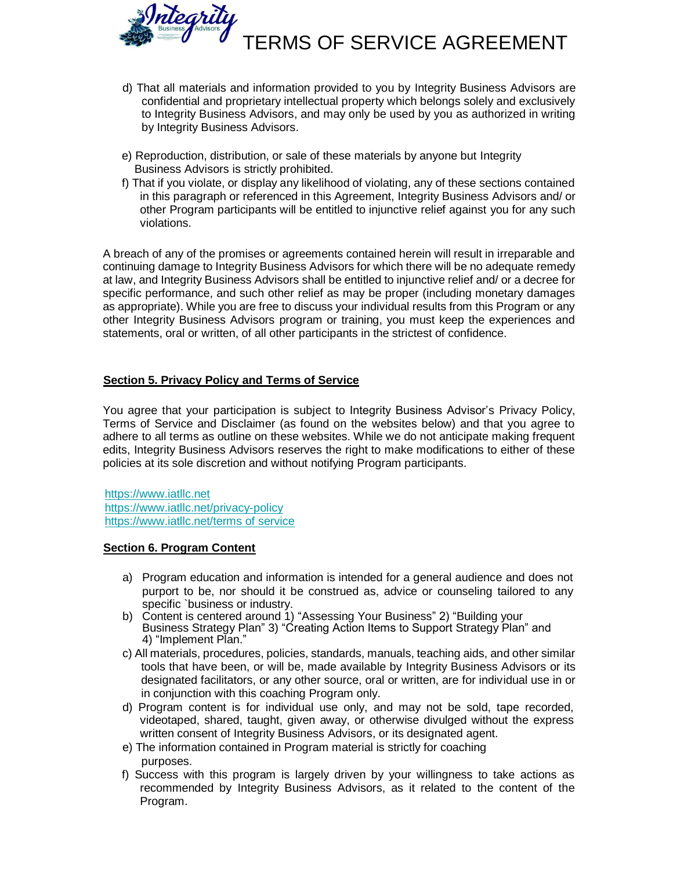

- d) That all materials and information provided to you by Integrity Business Advisors are confidential and proprietary intellectual property which belongs solely and exclusively to Integrity Business Advisors, and may only be used by you as authorized in writing by Integrity Business Advisors.
- e) Reproduction, distribution, or sale of these materials by anyone but Integrity Business Advisors is strictly prohibited.
- f) That if you violate, or display any likelihood of violating, any of these sections contained in this paragraph or referenced in this Agreement, Integrity Business Advisors and/ or other Program participants will be entitled to injunctive relief against you for any such violations.

A breach of any of the promises or agreements contained herein will result in irreparable and continuing damage to Integrity Business Advisors for which there will be no adequate remedy at law, and Integrity Business Advisors shall be entitled to injunctive relief and/ or a decree for specific performance, and such other relief as may be proper (including monetary damages as appropriate). While you are free to discuss your individual results from this Program or any other Integrity Business Advisors program or training, you must keep the experiences and statements, oral or written, of all other participants in the strictest of confidence.

## **Section 5. Privacy Policy and Terms of Service**

You agree that your participation is subject to Integrity Business Advisor's Privacy Policy, Terms of Service and Disclaimer (as found on the websites below) and that you agree to adhere to all terms as outline on these websites. While we do not anticipate making frequent edits, Integrity Business Advisors reserves the right to make modifications to either of these policies at its sole discretion and without notifying Program participants.

https://www.iatllc.net https://www.iatllc.net/privacy-policy https://www.iatllc.net/terms of service

#### **Section 6. Program Content**

- a) Program education and information is intended for a general audience and does not purport to be, nor should it be construed as, advice or counseling tailored to any specific `business or industry.
- b) Content is centered around 1) "Assessing Your Business" 2) "Building your Business Strategy Plan" 3) "Creating Action Items to Support Strategy Plan" and 4) "Implement Plan."
- c) All materials, procedures, policies, standards, manuals, teaching aids, and other similar tools that have been, or will be, made available by Integrity Business Advisors or its designated facilitators, or any other source, oral or written, are for individual use in or in conjunction with this coaching Program only.
- d) Program content is for individual use only, and may not be sold, tape recorded, videotaped, shared, taught, given away, or otherwise divulged without the express written consent of Integrity Business Advisors, or its designated agent.
- e) The information contained in Program material is strictly for coaching purposes.
- f) Success with this program is largely driven by your willingness to take actions as recommended by Integrity Business Advisors, as it related to the content of the Program.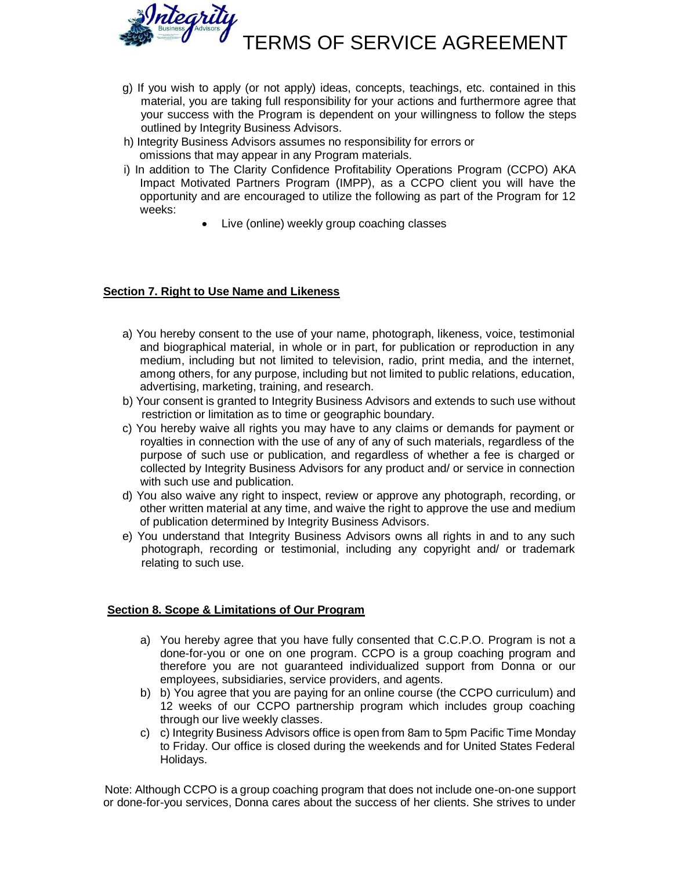

- g) If you wish to apply (or not apply) ideas, concepts, teachings, etc. contained in this material, you are taking full responsibility for your actions and furthermore agree that your success with the Program is dependent on your willingness to follow the steps outlined by Integrity Business Advisors.
- h) Integrity Business Advisors assumes no responsibility for errors or omissions that may appear in any Program materials.
- i) In addition to The Clarity Confidence Profitability Operations Program (CCPO) AKA Impact Motivated Partners Program (IMPP), as a CCPO client you will have the opportunity and are encouraged to utilize the following as part of the Program for 12 weeks:
	- Live (online) weekly group coaching classes

## **Section 7. Right to Use Name and Likeness**

- a) You hereby consent to the use of your name, photograph, likeness, voice, testimonial and biographical material, in whole or in part, for publication or reproduction in any medium, including but not limited to television, radio, print media, and the internet, among others, for any purpose, including but not limited to public relations, education, advertising, marketing, training, and research.
- b) Your consent is granted to Integrity Business Advisors and extends to such use without restriction or limitation as to time or geographic boundary.
- c) You hereby waive all rights you may have to any claims or demands for payment or royalties in connection with the use of any of any of such materials, regardless of the purpose of such use or publication, and regardless of whether a fee is charged or collected by Integrity Business Advisors for any product and/ or service in connection with such use and publication.
- d) You also waive any right to inspect, review or approve any photograph, recording, or other written material at any time, and waive the right to approve the use and medium of publication determined by Integrity Business Advisors.
- e) You understand that Integrity Business Advisors owns all rights in and to any such photograph, recording or testimonial, including any copyright and/ or trademark relating to such use.

## **Section 8. Scope & Limitations of Our Program**

- a) You hereby agree that you have fully consented that C.C.P.O. Program is not a done-for-you or one on one program. CCPO is a group coaching program and therefore you are not guaranteed individualized support from Donna or our employees, subsidiaries, service providers, and agents.
- b) b) You agree that you are paying for an online course (the CCPO curriculum) and 12 weeks of our CCPO partnership program which includes group coaching through our live weekly classes.
- c) c) Integrity Business Advisors office is open from 8am to 5pm Pacific Time Monday to Friday. Our office is closed during the weekends and for United States Federal Holidays.

Note: Although CCPO is a group coaching program that does not include one-on-one support or done-for-you services, Donna cares about the success of her clients. She strives to under